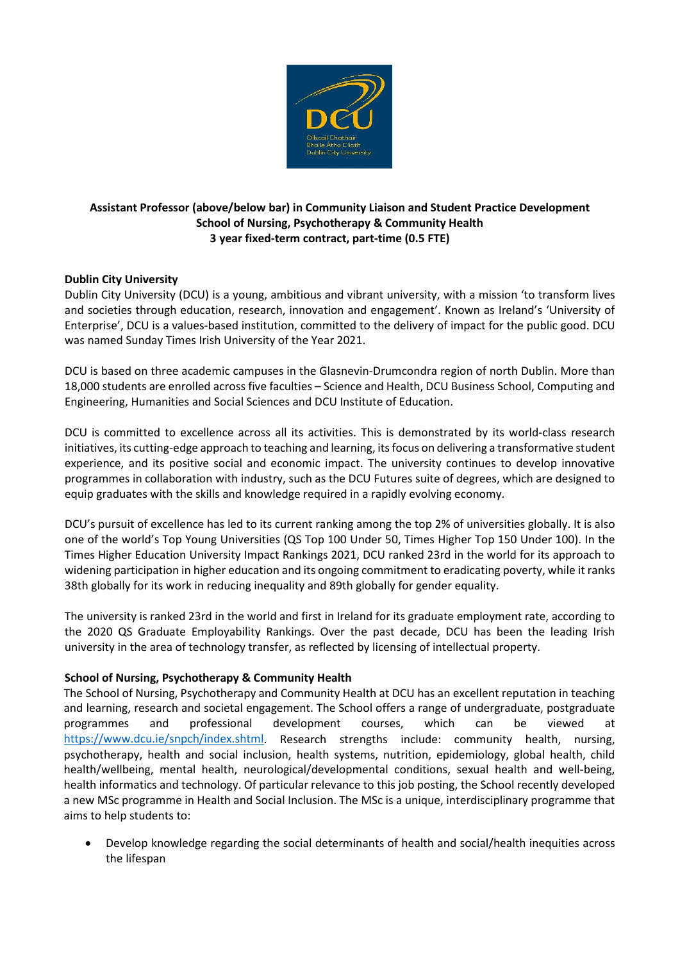

# **Assistant Professor (above/below bar) in Community Liaison and Student Practice Development School of Nursing, Psychotherapy & Community Health 3 year fixed-term contract, part-time (0.5 FTE)**

## **Dublin City University**

Dublin City University (DCU) is a young, ambitious and vibrant university, with a mission 'to transform lives and societies through education, research, innovation and engagement'. Known as Ireland's 'University of Enterprise', DCU is a values-based institution, committed to the delivery of impact for the public good. DCU was named Sunday Times Irish University of the Year 2021.

DCU is based on three academic campuses in the Glasnevin-Drumcondra region of north Dublin. More than 18,000 students are enrolled across five faculties – Science and Health, DCU Business School, Computing and Engineering, Humanities and Social Sciences and DCU Institute of Education.

DCU is committed to excellence across all its activities. This is demonstrated by its world-class research initiatives, its cutting-edge approach to teaching and learning, its focus on delivering a transformative student experience, and its positive social and economic impact. The university continues to develop innovative programmes in collaboration with industry, such as the DCU Futures suite of degrees, which are designed to equip graduates with the skills and knowledge required in a rapidly evolving economy.

DCU's pursuit of excellence has led to its current ranking among the top 2% of universities globally. It is also one of the world's Top Young Universities (QS Top 100 Under 50, Times Higher Top 150 Under 100). In the Times Higher Education University Impact Rankings 2021, DCU ranked 23rd in the world for its approach to widening participation in higher education and its ongoing commitment to eradicating poverty, while it ranks 38th globally for its work in reducing inequality and 89th globally for gender equality.

The university is ranked 23rd in the world and first in Ireland for its graduate employment rate, according to the 2020 QS Graduate Employability Rankings. Over the past decade, DCU has been the leading Irish university in the area of technology transfer, as reflected by licensing of intellectual property.

## **School of Nursing, Psychotherapy & Community Health**

The School of Nursing, Psychotherapy and Community Health at DCU has an excellent reputation in teaching and learning, research and societal engagement. The School offers a range of undergraduate, postgraduate programmes and professional development courses, which can be viewed at [https://www.dcu.ie/snpch/index.shtml.](https://www.dcu.ie/snpch/index.shtml) Research strengths include: community health, nursing, psychotherapy, health and social inclusion, health systems, nutrition, epidemiology, global health, child health/wellbeing, mental health, neurological/developmental conditions, sexual health and well-being, health informatics and technology. Of particular relevance to this job posting, the School recently developed a new MSc programme in Health and Social Inclusion. The MSc is a unique, interdisciplinary programme that aims to help students to:

• Develop knowledge regarding the social determinants of health and social/health inequities across the lifespan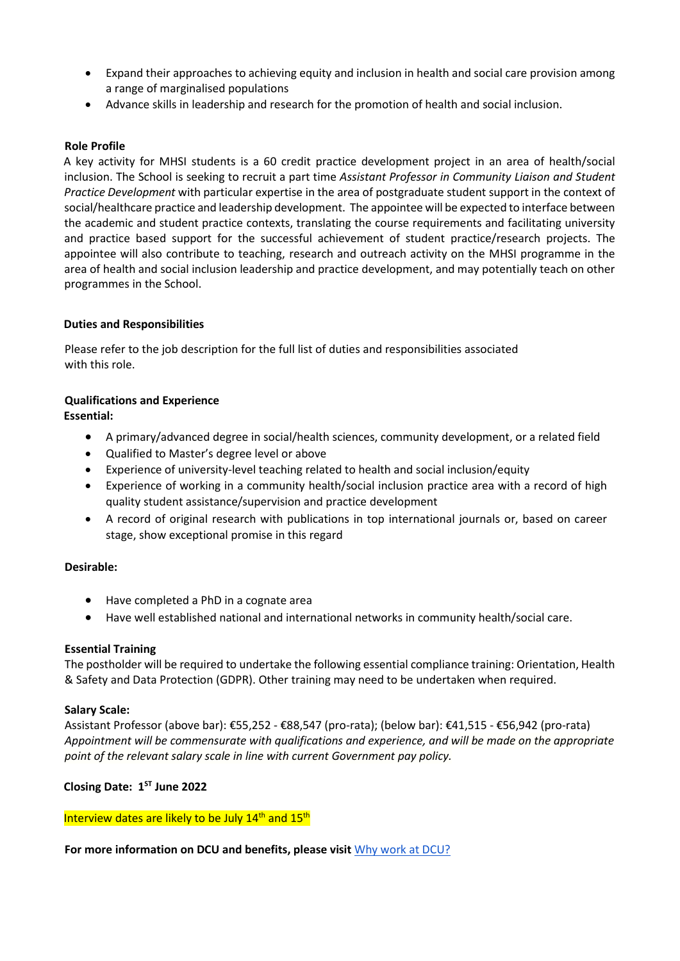- Expand their approaches to achieving equity and inclusion in health and social care provision among a range of marginalised populations
- Advance skills in leadership and research for the promotion of health and social inclusion.

### **Role Profile**

A key activity for MHSI students is a 60 credit practice development project in an area of health/social inclusion. The School is seeking to recruit a part time *Assistant Professor in Community Liaison and Student Practice Development* with particular expertise in the area of postgraduate student support in the context of social/healthcare practice and leadership development. The appointee will be expected to interface between the academic and student practice contexts, translating the course requirements and facilitating university and practice based support for the successful achievement of student practice/research projects. The appointee will also contribute to teaching, research and outreach activity on the MHSI programme in the area of health and social inclusion leadership and practice development, and may potentially teach on other programmes in the School.

### **Duties and Responsibilities**

Please refer to the job description for the full list of duties and responsibilities associated with this role.

### **Qualifications and Experience**

**Essential:**

- A primary/advanced degree in social/health sciences, community development, or a related field
- Qualified to Master's degree level or above
- Experience of university-level teaching related to health and social inclusion/equity
- Experience of working in a community health/social inclusion practice area with a record of high quality student assistance/supervision and practice development
- A record of original research with publications in top international journals or, based on career stage, show exceptional promise in this regard

#### **Desirable:**

- Have completed a PhD in a cognate area
- Have well established national and international networks in community health/social care.

#### **Essential Training**

The postholder will be required to undertake the following essential compliance training: Orientation, Health & Safety and Data Protection (GDPR). Other training may need to be undertaken when required.

#### **Salary Scale:**

Assistant Professor (above bar): €55,252 - €88,547 (pro-rata); (below bar): €41,515 - €56,942 (pro-rata) *Appointment will be commensurate with qualifications and experience, and will be made on the appropriate point of the relevant salary scale in line with current Government pay policy.*

## **Closing Date: 1ST June 2022**

#### Interview dates are likely to be July 14<sup>th</sup> and 15<sup>th</sup>

**For more information on DCU and benefits, please visit** [Why work at DCU?](https://www.dcu.ie/hr/why-work-dcu)